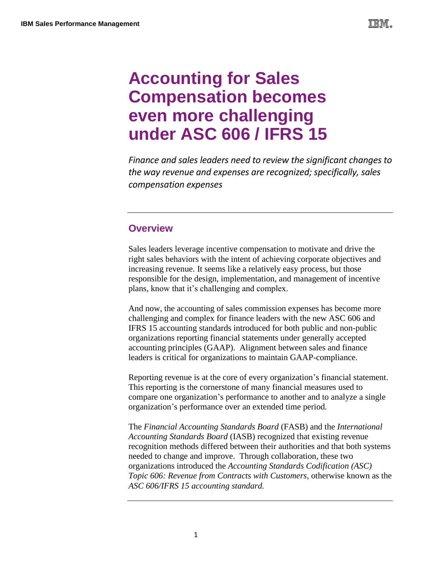# **Accounting for Sales Compensation becomes even more challenging under ASC 606 / IFRS 15**

*Finance and sales leaders need to review the significant changes to the way revenue and expenses are recognized; specifically, sales compensation expenses*

## **Overview**

Sales leaders leverage incentive compensation to motivate and drive the right sales behaviors with the intent of achieving corporate objectives and increasing revenue. It seems like a relatively easy process, but those responsible for the design, implementation, and management of incentive plans, know that it's challenging and complex.

And now, the accounting of sales commission expenses has become more challenging and complex for finance leaders with the new ASC 606 and IFRS 15 accounting standards introduced for both public and non-public organizations reporting financial statements under generally accepted accounting principles (GAAP). Alignment between sales and finance leaders is critical for organizations to maintain GAAP-compliance.

Reporting revenue is at the core of every organization's financial statement. This reporting is the cornerstone of many financial measures used to compare one organization's performance to another and to analyze a single organization's performance over an extended time period.

The *Financial Accounting Standards Board* (FASB) and the *International Accounting Standards Board* (IASB) recognized that existing revenue recognition methods differed between their authorities and that both systems needed to change and improve. Through collaboration, these two organizations introduced the *Accounting Standards Codification (ASC) Topic 606: Revenue from Contracts with Customers,* otherwise known as the *ASC 606/IFRS 15 accounting standard.*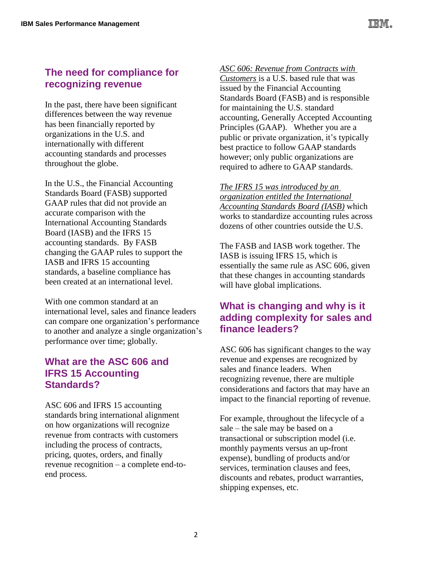# **The need for compliance for recognizing revenue**

In the past, there have been significant differences between the way revenue has been financially reported by organizations in the U.S. and internationally with different accounting standards and processes throughout the globe.

In the U.S., the Financial Accounting Standards Board (FASB) supported GAAP rules that did not provide an accurate comparison with the International Accounting Standards Board (IASB) and the IFRS 15 accounting standards. By FASB changing the GAAP rules to support the IASB and IFRS 15 accounting standards, a baseline compliance has been created at an international level.

With one common standard at an international level, sales and finance leaders can compare one organization's performance to another and analyze a single organization's performance over time; globally.

# **What are the ASC 606 and IFRS 15 Accounting Standards?**

ASC 606 and IFRS 15 accounting standards bring international alignment on how organizations will recognize revenue from contracts with customers including the process of contracts, pricing, quotes, orders, and finally revenue recognition – a complete end-toend process.

#### *ASC 606: Revenue from Contracts with*

*Customers* is a U.S. based rule that was issued by the Financial Accounting Standards Board (FASB) and is responsible for maintaining the U.S. standard accounting, Generally Accepted Accounting Principles (GAAP). Whether you are a public or private organization, it's typically best practice to follow GAAP standards however; only public organizations are required to adhere to GAAP standards.

*The IFRS 15 was introduced by an organization entitled the International Accounting Standards Board (IASB)* which works to standardize accounting rules across dozens of other countries outside the U.S.

The FASB and IASB work together. The IASB is issuing IFRS 15, which is essentially the same rule as ASC 606, given that these changes in accounting standards will have global implications.

## **What is changing and why is it adding complexity for sales and finance leaders?**

ASC 606 has significant changes to the way revenue and expenses are recognized by sales and finance leaders. When recognizing revenue, there are multiple considerations and factors that may have an impact to the financial reporting of revenue.

For example, throughout the lifecycle of a sale – the sale may be based on a transactional or subscription model (i.e. monthly payments versus an up-front expense), bundling of products and/or services, termination clauses and fees, discounts and rebates, product warranties, shipping expenses, etc.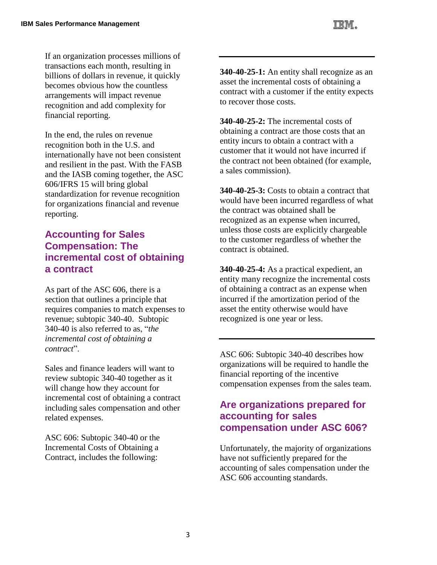If an organization processes millions of transactions each month, resulting in billions of dollars in revenue, it quickly becomes obvious how the countless arrangements will impact revenue recognition and add complexity for financial reporting.

In the end, the rules on revenue recognition both in the U.S. and internationally have not been consistent and resilient in the past. With the FASB and the IASB coming together, the ASC 606/IFRS 15 will bring global standardization for revenue recognition for organizations financial and revenue reporting.

## **Accounting for Sales Compensation: The incremental cost of obtaining a contract**

As part of the ASC 606, there is a section that outlines a principle that requires companies to match expenses to revenue; subtopic 340-40. Subtopic 340-40 is also referred to as, "*the incremental cost of obtaining a contract*".

Sales and finance leaders will want to review subtopic 340-40 together as it will change how they account for incremental cost of obtaining a contract including sales compensation and other related expenses.

ASC 606: Subtopic 340-40 or the Incremental Costs of Obtaining a Contract, includes the following:

**340-40-25-1:** An entity shall recognize as an asset the incremental costs of obtaining a contract with a customer if the entity expects to recover those costs.

**340-40-25-2:** The incremental costs of obtaining a contract are those costs that an entity incurs to obtain a contract with a customer that it would not have incurred if the contract not been obtained (for example, a sales commission).

**340-40-25-3:** Costs to obtain a contract that would have been incurred regardless of what the contract was obtained shall be recognized as an expense when incurred, unless those costs are explicitly chargeable to the customer regardless of whether the contract is obtained.

**340-40-25-4:** As a practical expedient, an entity many recognize the incremental costs of obtaining a contract as an expense when incurred if the amortization period of the asset the entity otherwise would have recognized is one year or less.

ASC 606: Subtopic 340-40 describes how organizations will be required to handle the financial reporting of the incentive compensation expenses from the sales team.

# **Are organizations prepared for accounting for sales compensation under ASC 606?**

Unfortunately, the majority of organizations have not sufficiently prepared for the accounting of sales compensation under the ASC 606 accounting standards.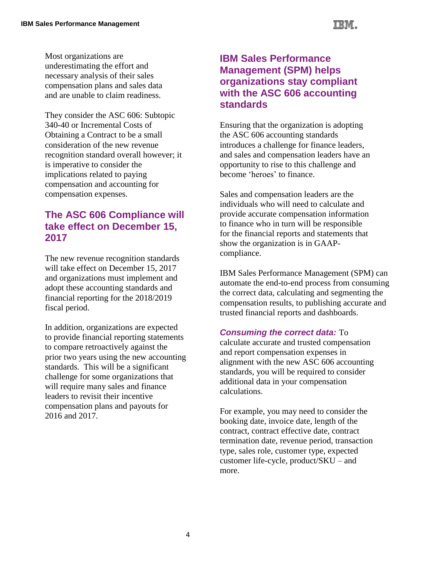Most organizations are underestimating the effort and necessary analysis of their sales compensation plans and sales data and are unable to claim readiness.

They consider the ASC 606: Subtopic 340-40 or Incremental Costs of Obtaining a Contract to be a small consideration of the new revenue recognition standard overall however; it is imperative to consider the implications related to paying compensation and accounting for compensation expenses.

# **The ASC 606 Compliance will take effect on December 15, 2017**

The new revenue recognition standards will take effect on December 15, 2017 and organizations must implement and adopt these accounting standards and financial reporting for the 2018/2019 fiscal period.

In addition, organizations are expected to provide financial reporting statements to compare retroactively against the prior two years using the new accounting standards. This will be a significant challenge for some organizations that will require many sales and finance leaders to revisit their incentive compensation plans and payouts for 2016 and 2017.

# **IBM Sales Performance Management (SPM) helps organizations stay compliant with the ASC 606 accounting standards**

Ensuring that the organization is adopting the ASC 606 accounting standards introduces a challenge for finance leaders, and sales and compensation leaders have an opportunity to rise to this challenge and become 'heroes' to finance.

Sales and compensation leaders are the individuals who will need to calculate and provide accurate compensation information to finance who in turn will be responsible for the financial reports and statements that show the organization is in GAAPcompliance.

IBM Sales Performance Management (SPM) can automate the end-to-end process from consuming the correct data, calculating and segmenting the compensation results, to publishing accurate and trusted financial reports and dashboards.

#### *Consuming the correct data:* To

calculate accurate and trusted compensation and report compensation expenses in alignment with the new ASC 606 accounting standards, you will be required to consider additional data in your compensation calculations.

For example, you may need to consider the booking date, invoice date, length of the contract, contract effective date, contract termination date, revenue period, transaction type, sales role, customer type, expected customer life-cycle, product/SKU – and more.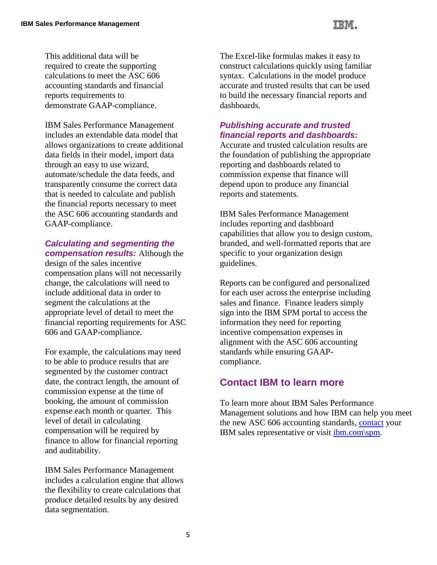

IBM Sales Performance Management includes an extendable data model that allows organizations to create additional data fields in their model, import data through an easy to use wizard, automate/schedule the data feeds, and transparently consume the correct data that is needed to calculate and publish the financial reports necessary to meet the ASC 606 accounting standards and GAAP-compliance.

#### *Calculating and segmenting the compensation results:* Although the

design of the sales incentive compensation plans will not necessarily change, the calculations will need to include additional data in order to segment the calculations at the appropriate level of detail to meet the financial reporting requirements for ASC 606 and GAAP-compliance.

For example, the calculations may need to be able to produce results that are segmented by the customer contract date, the contract length, the amount of commission expense at the time of booking, the amount of commission expense each month or quarter. This level of detail in calculating compensation will be required by finance to allow for financial reporting and auditability.

IBM Sales Performance Management includes a calculation engine that allows the flexibility to create calculations that produce detailed results by any desired data segmentation.

The Excel-like formulas makes it easy to construct calculations quickly using familiar syntax. Calculations in the model produce accurate and trusted results that can be used to build the necessary financial reports and dashboards.

#### *Publishing accurate and trusted financial reports and dashboards:*

Accurate and trusted calculation results are the foundation of publishing the appropriate reporting and dashboards related to commission expense that finance will depend upon to produce any financial reports and statements.

IBM Sales Performance Management includes reporting and dashboard capabilities that allow you to design custom, branded, and well-formatted reports that are specific to your organization design guidelines.

Reports can be configured and personalized for each user across the enterprise including sales and finance. Finance leaders simply sign into the IBM SPM portal to access the information they need for reporting incentive compensation expenses in alignment with the ASC 606 accounting standards while ensuring GAAPcompliance.

#### **Contact IBM to learn more**

To learn more about IBM Sales Performance Management solutions and how IBM can help you meet the new ASC 606 accounting standards, [contact](ttps://www.ibm.com/marketing/iwm/iwm/web/signup.do?source=swgmail-ba&S_TACT=101KR27W) your IBM sales representative or visit [ibm.com\spm.](http://www.ibm.com/analytics/us/en/business/sales-performance-management)